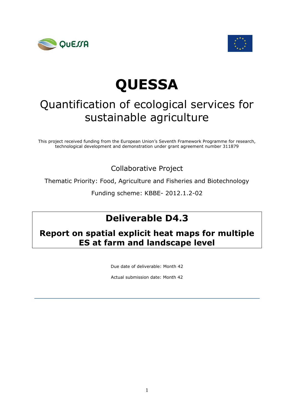



# **QUESSA**

# Quantification of ecological services for sustainable agriculture

This project received funding from the European Union's Seventh Framework Programme for research, technological development and demonstration under grant agreement number 311879

Collaborative Project

Thematic Priority: Food, Agriculture and Fisheries and Biotechnology

Funding scheme: KBBE- 2012.1.2-02

## **Deliverable D4.3**

### **Report on spatial explicit heat maps for multiple ES at farm and landscape level**

Due date of deliverable: Month 42

Actual submission date: Month 42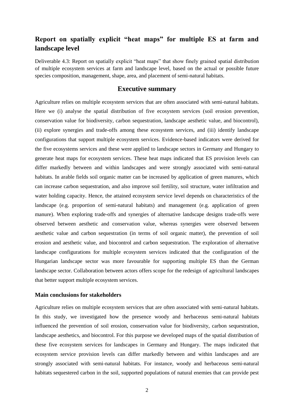### **Report on spatially explicit "heat maps" for multiple ES at farm and landscape level**

Deliverable 4.3: Report on spatially explicit "heat maps" that show finely grained spatial distribution of multiple ecosystem services at farm and landscape level, based on the actual or possible future species composition, management, shape, area, and placement of semi-natural habitats.

#### **Executive summary**

Agriculture relies on multiple ecosystem services that are often associated with semi-natural habitats. Here we (i) analyse the spatial distribution of five ecosystem services (soil erosion prevention, conservation value for biodiversity, carbon sequestration, landscape aesthetic value, and biocontrol), (ii) explore synergies and trade-offs among these ecosystem services, and (iii) identify landscape configurations that support multiple ecosystem services. Evidence-based indicators were derived for the five ecosystems services and these were applied to landscape sectors in Germany and Hungary to generate heat maps for ecosystem services. These heat maps indicated that ES provision levels can differ markedly between and within landscapes and were strongly associated with semi-natural habitats. In arable fields soil organic matter can be increased by application of green manures, which can increase carbon sequestration, and also improve soil fertility, soil structure, water infiltration and water holding capacity. Hence, the attained ecosystem service level depends on characteristics of the landscape (e.g. proportion of semi-natural habitats) and management (e.g. application of green manure). When exploring trade-offs and synergies of alternative landscape designs trade-offs were observed between aesthetic and conservation value, whereas synergies were observed between aesthetic value and carbon sequestration (in terms of soil organic matter), the prevention of soil erosion and aesthetic value, and biocontrol and carbon sequestration. The exploration of alternative landscape configurations for multiple ecosystem services indicated that the configuration of the Hungarian landscape sector was more favourable for supporting multiple ES than the German landscape sector. Collaboration between actors offers scope for the redesign of agricultural landscapes that better support multiple ecosystem services.

#### **Main conclusions for stakeholders**

Agriculture relies on multiple ecosystem services that are often associated with semi-natural habitats. In this study, we investigated how the presence woody and herbaceous semi-natural habitats influenced the prevention of soil erosion, conservation value for biodiversity, carbon sequestration, landscape aesthetics, and biocontrol. For this purpose we developed maps of the spatial distribution of these five ecosystem services for landscapes in Germany and Hungary. The maps indicated that ecosystem service provision levels can differ markedly between and within landscapes and are strongly associated with semi-natural habitats. For instance, woody and herbaceous semi-natural habitats sequestered carbon in the soil, supported populations of natural enemies that can provide pest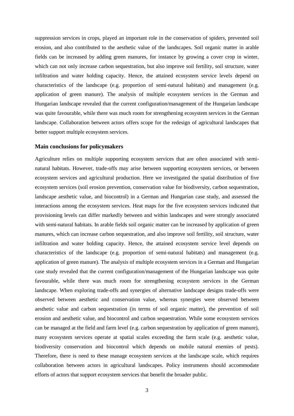suppression services in crops, played an important role in the conservation of spiders, prevented soil erosion, and also contributed to the aesthetic value of the landscapes. Soil organic matter in arable fields can be increased by adding green manures, for instance by growing a cover crop in winter, which can not only increase carbon sequestration, but also improve soil fertility, soil structure, water infiltration and water holding capacity. Hence, the attained ecosystem service levels depend on characteristics of the landscape (e.g. proportion of semi-natural habitats) and management (e.g. application of green manure). The analysis of multiple ecosystem services in the German and Hungarian landscape revealed that the current configuration/management of the Hungarian landscape was quite favourable, while there was much room for strengthening ecosystem services in the German landscape. Collaboration between actors offers scope for the redesign of agricultural landscapes that better support multiple ecosystem services.

#### **Main conclusions for policymakers**

Agriculture relies on multiple supporting ecosystem services that are often associated with seminatural habitats. However, trade-offs may arise between supporting ecosystem services, or between ecosystem services and agricultural production. Here we investigated the spatial distribution of five ecosystem services (soil erosion prevention, conservation value for biodiversity, carbon sequestration, landscape aesthetic value, and biocontrol) in a German and Hungarian case study, and assessed the interactions among the ecosystem services. Heat maps for the five ecosystem services indicated that provisioning levels can differ markedly between and within landscapes and were strongly associated with semi-natural habitats. In arable fields soil organic matter can be increased by application of green manures, which can increase carbon sequestration, and also improve soil fertility, soil structure, water infiltration and water holding capacity. Hence, the attained ecosystem service level depends on characteristics of the landscape (e.g. proportion of semi-natural habitats) and management (e.g. application of green manure). The analysis of multiple ecosystem services in a German and Hungarian case study revealed that the current configuration/management of the Hungarian landscape was quite favourable, while there was much room for strengthening ecosystem services in the German landscape. When exploring trade-offs and synergies of alternative landscape designs trade-offs were observed between aesthetic and conservation value, whereas synergies were observed between aesthetic value and carbon sequestration (in terms of soil organic matter), the prevention of soil erosion and aesthetic value, and biocontrol and carbon sequestration. While some ecosystem services can be managed at the field and farm level (e.g. carbon sequestration by application of green manure), many ecosystem services operate at spatial scales exceeding the farm scale (e.g. aesthetic value, biodiversity conservation and biocontrol which depends on mobile natural enemies of pests). Therefore, there is need to these manage ecosystem services at the landscape scale, which requires collaboration between actors in agricultural landscapes. Policy instruments should accommodate efforts of actors that support ecosystem services that benefit the broader public.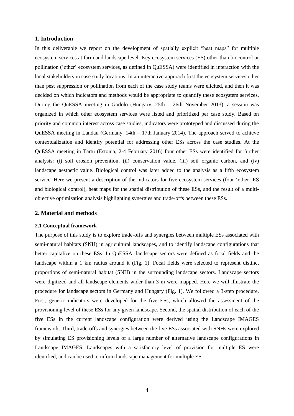#### **1. Introduction**

In this deliverable we report on the development of spatially explicit "heat maps" for multiple ecosystem services at farm and landscape level. Key ecosystem services (ES) other than biocontrol or pollination ('other' ecosystem services, as defined in QuESSA) were identified in interaction with the local stakeholders in case study locations. In an interactive approach first the ecosystem services other than pest suppression or pollination from each of the case study teams were elicited, and then it was decided on which indicators and methods would be appropriate to quantify these ecosystem services. During the QuESSA meeting in Gödölö (Hungary, 25th – 26th November 2013), a session was organized in which other ecosystem services were listed and prioritized per case study. Based on priority and common interest across case studies, indicators were prototyped and discussed during the QuESSA meeting in Landau (Germany, 14th – 17th January 2014). The approach served to achieve contextualization and identify potential for addressing other ESs across the case studies. At the QuESSA meeting in Tartu (Estonia, 2-4 February 2016) four other ESs were identified for further analysis: (i) soil erosion prevention, (ii) conservation value, (iii) soil organic carbon, and (iv) landscape aesthetic value. Biological control was later added to the analysis as a fifth ecosystem service. Here we present a description of the indicators for five ecosystem services (four 'other' ES and biological control), heat maps for the spatial distribution of these ESs, and the result of a multiobjective optimization analysis highlighting synergies and trade-offs between these ESs.

#### **2. Material and methods**

#### **2.1 Conceptual framework**

The purpose of this study is to explore trade-offs and synergies between multiple ESs associated with semi-natural habitats (SNH) in agricultural landscapes, and to identify landscape configurations that better capitalize on these ESs. In QuESSA, landscape sectors were defined as focal fields and the landscape within a 1 km radius around it (Fig. 1). Focal fields were selected to represent distinct proportions of semi-natural habitat (SNH) in the surrounding landscape sectors. Landscape sectors were digitized and all landscape elements wider than 3 m were mapped. Here we will illustrate the procedure for landscape sectors in Germany and Hungary (Fig. 1). We followed a 3-step procedure. First, generic indicators were developed for the five ESs, which allowed the assessment of the provisioning level of these ESs for any given landscape. Second, the spatial distribution of each of the five ESs in the current landscape configuration were derived using the Landscape IMAGES framework. Third, trade-offs and synergies between the five ESs associated with SNHs were explored by simulating ES provisioning levels of a large number of alternative landscape configurations in Landscape IMAGES. Landscapes with a satisfactory level of provision for multiple ES were identified, and can be used to inform landscape management for multiple ES.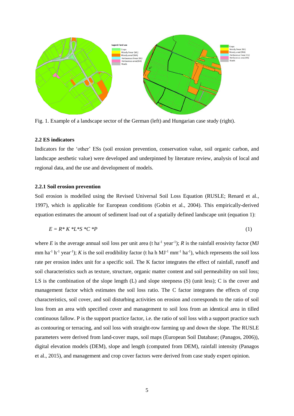

Fig. 1. Example of a landscape sector of the German (left) and Hungarian case study (right).

#### **2.2 ES indicators**

Indicators for the 'other' ESs (soil erosion prevention, conservation value, soil organic carbon, and landscape aesthetic value) were developed and underpinned by literature review, analysis of local and regional data, and the use and development of models.

#### **2.2.1 Soil erosion prevention**

Soil erosion is modelled using the Revised Universal Soil Loss Equation (RUSLE; Renard et al., 1997), which is applicable for European conditions (Gobin et al., 2004). This empirically-derived equation estimates the amount of sediment load out of a spatially defined landscape unit (equation 1):

$$
E = R^* K^* L^* S^* C^* P \tag{1}
$$

where E is the average annual soil loss per unit area (t ha<sup>-1</sup> year<sup>-1</sup>); R is the rainfall erosivity factor (MJ mm ha<sup>-1</sup> h<sup>-1</sup> year<sup>-1</sup>); *K* is the soil erodibility factor (t ha h MJ<sup>-1</sup> mm<sup>-1</sup> ha<sup>-1</sup>), which represents the soil loss rate per erosion index unit for a specific soil. The K factor integrates the effect of rainfall, runoff and soil characteristics such as texture, structure, organic matter content and soil permeability on soil loss; LS is the combination of the slope length (L) and slope steepness (S) (unit less); C is the cover and management factor which estimates the soil loss ratio. The C factor integrates the effects of crop characteristics, soil cover, and soil disturbing activities on erosion and corresponds to the ratio of soil loss from an area with specified cover and management to soil loss from an identical area in tilled continuous fallow. P is the support practice factor, i.e. the ratio of soil loss with a support practice such as contouring or terracing, and soil loss with straight-row farming up and down the slope. The RUSLE parameters were derived from land-cover maps, soil maps (European Soil Database; (Panagos, 2006)), digital elevation models (DEM), slope and length (computed from DEM), rainfall intensity (Panagos et al., 2015), and management and crop cover factors were derived from case study expert opinion.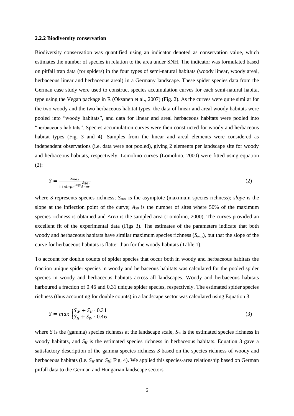#### **2.2.2 Biodiversity conservation**

Biodiversity conservation was quantified using an indicator denoted as conservation value, which estimates the number of species in relation to the area under SNH. The indicator was formulated based on pitfall trap data (for spiders) in the four types of semi-natural habitats (woody linear, woody areal, herbaceous linear and herbaceous areal) in a Germany landscape. These spider species data from the German case study were used to construct species accumulation curves for each semi-natural habitat type using the Vegan package in R (Oksanen et al., 2007) (Fig. 2). As the curves were quite similar for the two woody and the two herbaceous habitat types, the data of linear and areal woody habitats were pooled into "woody habitats", and data for linear and areal herbaceous habitats were pooled into "herbaceous habitats". Species accumulation curves were then constructed for woody and herbaceous habitat types (Fig. 3 and 4). Samples from the linear and areal elements were considered as independent observations (i.e. data were not pooled), giving 2 elements per landscape site for woody and herbaceous habitats, respectively. Lomolino curves (Lomolino, 2000) were fitted using equation (2):

$$
S = \frac{S_{max}}{1 + slope^{\log(\frac{A_{50}}{Area})}}
$$
(2)

where *S* represents species richness; *Smax* is the asymptote (maximum species richness); *slope* is the slope at the inflection point of the curve;  $A_{50}$  is the number of sites where 50% of the maximum species richness is obtained and *Area* is the sampled area (Lomolino, 2000). The curves provided an excellent fit of the experimental data (Figs 3). The estimates of the parameters indicate that both woody and herbaceous habitats have similar maximum species richness (*Smax*), but that the slope of the curve for herbaceous habitats is flatter than for the woody habitats (Table 1).

To account for double counts of spider species that occur both in woody and herbaceous habitats the fraction unique spider species in woody and herbaceous habitats was calculated for the pooled spider species in woody and herbaceous habitats across all landscapes. Woody and herbaceous habitats harboured a fraction of 0.46 and 0.31 unique spider species, respectively. The estimated spider species richness (thus accounting for double counts) in a landscape sector was calculated using Equation 3:

$$
S = \max \begin{cases} S_W + S_H \cdot 0.31 \\ S_H + S_W \cdot 0.46 \end{cases}
$$
 (3)

where *S* is the (gamma) species richness at the landscape scale,  $S_W$  is the estimated species richness in woody habitats, and *S<sup>H</sup>* is the estimated species richness in herbaceous habitats. Equation 3 gave a satisfactory description of the gamma species richness *S* based on the species richness of woody and herbaceous habitats (i.e.  $S_W$  and  $S_H$ ; Fig. 4). We applied this species-area relationship based on German pitfall data to the German and Hungarian landscape sectors.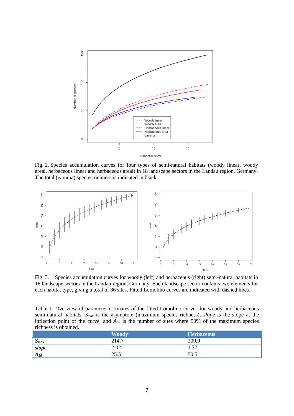

Fig. 2. Species accumulation curves for four types of semi-natural habitats (woody linear, woody areal, herbaceous linear and herbaceous areal) in 18 landscape sectors in the Landau region, Germany. The total (gamma) species richness is indicated in black.



Fig. 3. Species accumulation curves for woody (left) and herbaceous (right) semi-natural habitats in 18 landscape sectors in the Landau region, Germany. Each landscape sector contains two elements for each habitat type, giving a total of 36 sites. Fitted Lomolino curves are indicated with dashed lines.

Table 1. Overview of parameter estimates of the fitted Lomolino curves for woody and herbaceous semi-natural habitats. *Smax* is the asymptote (maximum species richness), *slope* is the slope at the inflection point of the curve, and  $A_{50}$  is the number of sites where 50% of the maximum species richness is obtained.

|                                     | Woody       | <b>Herbaceous</b>  |
|-------------------------------------|-------------|--------------------|
| $\mathbf{C}$<br>$\Delta$ <i>max</i> | 214.7       | 209.9              |
| slope                               | 2.02        | $\overline{a}$<br> |
| $A_{50}$                            | າ<<br>ن د ک | 50.5               |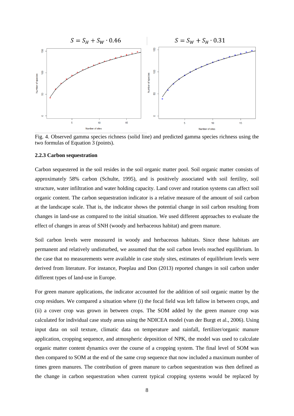

Fig. 4. Observed gamma species richness (solid line) and predicted gamma species richness using the two formulas of Equation 3 (points).

#### **2.2.3 Carbon sequestration**

Carbon sequestered in the soil resides in the soil organic matter pool. Soil organic matter consists of approximately 58% carbon (Schulte, 1995), and is positively associated with soil fertility, soil structure, water infiltration and water holding capacity. Land cover and rotation systems can affect soil organic content. The carbon sequestration indicator is a relative measure of the amount of soil carbon at the landscape scale. That is, the indicator shows the potential change in soil carbon resulting from changes in land-use as compared to the initial situation. We used different approaches to evaluate the effect of changes in areas of SNH (woody and herbaceous habitat) and green manure.

Soil carbon levels were measured in woody and herbaceous habitats. Since these habitats are permanent and relatively undisturbed, we assumed that the soil carbon levels reached equilibrium. In the case that no measurements were available in case study sites, estimates of equilibrium levels were derived from literature. For instance, Poeplau and Don (2013) reported changes in soil carbon under different types of land-use in Europe.

For green manure applications, the indicator accounted for the addition of soil organic matter by the crop residues. We compared a situation where (i) the focal field was left fallow in between crops, and (ii) a cover crop was grown in between crops. The SOM added by the green manure crop was calculated for individual case study areas using the NDICEA model (van der Burgt et al., 2006). Using input data on soil texture, climatic data on temperature and rainfall, fertilizer/organic manure application, cropping sequence, and atmospheric deposition of NPK, the model was used to calculate organic matter content dynamics over the course of a cropping system. The final level of SOM was then compared to SOM at the end of the same crop sequence that now included a maximum number of times green manures. The contribution of green manure to carbon sequestration was then defined as the change in carbon sequestration when current typical cropping systems would be replaced by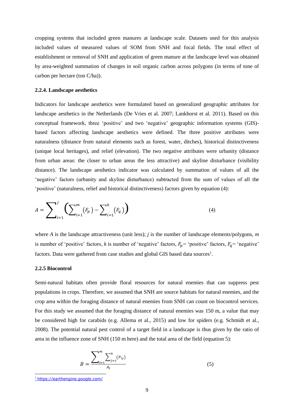cropping systems that included green manures at landscape scale. Datasets used for this analysis included values of measured values of SOM from SNH and focal fields. The total effect of establishment or removal of SNH and application of green manure at the landscape level was obtained by area-weighted summation of changes in soil organic carbon across polygons (in terms of tone of carbon per hectare (ton C/ha)).

#### **2.2.4. Landscape aesthetics**

Indicators for landscape aesthetics were formulated based on generalized geographic attributes for landscape aesthetics in the Netherlands (De Vries et al. 2007; Lankhorst et al. 2011). Based on this conceptual framework, three 'positive' and two 'negative' geographic information systems (GIS) based factors affecting landscape aesthetics were defined. The three positive attributes were naturalness (distance from natural elements such as forest, water, ditches), historical distinctiveness (unique local heritages), and relief (elevation). The two negative attributes were urbanity (distance from urban areas: the closer to urban areas the less attractive) and skyline disturbance (visibility distance). The landscape aesthetics indicator was calculated by summation of values of all the 'negative' factors (urbanity and skyline disturbance) subtracted from the sum of values of all the 'positive' (naturalness, relief and historical distinctiveness) factors given by equation (4):

$$
A = \sum_{i=1}^{j} \left( \sum_{i=1}^{m} (F_p) - \sum_{i=1}^{k} (F_q) \right)
$$
 (4)

where *A* is the landscape attractiveness (unit less); *j* is the number of landscape elements/polygons, *m* is number of 'positive' factors, *k* is number of 'negative' factors,  $F_p$  = 'positive' factors,  $F_q$  = 'negative' factors. Data were gathered from case studies and global GIS based data sources<sup>1</sup>.

#### **2.2.5 Biocontrol**

Semi-natural habitats often provide floral resources for natural enemies that can suppress pest populations in crops. Therefore, we assumed that SNH are source habitats for natural enemies, and the crop area within the foraging distance of natural enemies from SNH can count on biocontrol services. For this study we assumed that the foraging distance of natural enemies was 150 m, a value that may be considered high for carabids (e.g. Allema et al., 2015) and low for spiders (e.g. Schmidt et al., 2008). The potential natural pest control of a target field in a landscape is thus given by the ratio of area in the influence zone of SNH (150 m here) and the total area of the field (equation 5):

$$
B = \frac{\sum_{i=1}^{m} \sum_{j=1}^{n} (P_{ij})}{A_i}
$$
 (5)

-

<sup>1</sup> https://earthengine.google.com/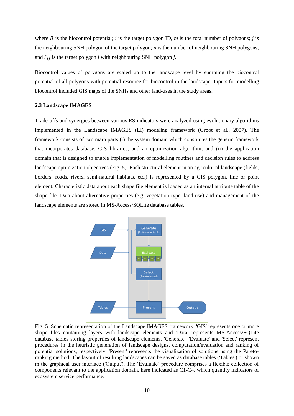where  $B$  is the biocontrol potential;  $i$  is the target polygon ID,  $m$  is the total number of polygons;  $j$  is the neighbouring SNH polygon of the target polygon; *n* is the number of neighbouring SNH polygons; and  $P_{ij}$  is the target polygon *i* with neighbouring SNH polygon *j*.

Biocontrol values of polygons are scaled up to the landscape level by summing the biocontrol potential of all polygons with potential resource for biocontrol in the landscape. Inputs for modelling biocontrol included GIS maps of the SNHs and other land-uses in the study areas.

#### **2.3 Landscape IMAGES**

Trade-offs and synergies between various ES indicators were analyzed using evolutionary algorithms implemented in the Landscape IMAGES (LI) modeling framework (Groot et al., 2007). The framework consists of two main parts (i) the system domain which constitutes the generic framework that incorporates database, GIS libraries, and an optimization algorithm, and (ii) the application domain that is designed to enable implementation of modelling routines and decision rules to address landscape optimization objectives (Fig. 5). Each structural element in an agricultural landscape (fields, borders, roads, rivers, semi-natural habitats, etc.) is represented by a GIS polygon, line or point element. Characteristic data about each shape file element is loaded as an internal attribute table of the shape file. Data about alternative properties (e.g. vegetation type, land-use) and management of the landscape elements are stored in MS-Access/SQLite database tables.



Fig. 5. Schematic representation of the Landscape IMAGES framework. 'GIS' represents one or more shape files containing layers with landscape elements and 'Data' represents MS-Access/SQLite database tables storing properties of landscape elements. 'Generate', 'Evaluate' and 'Select' represent procedures in the heuristic generation of landscape designs, computation/evaluation and ranking of potential solutions, respectively. 'Present' represents the visualization of solutions using the Paretoranking method. The layout of resulting landscapes can be saved as database tables ('Tables') or shown in the graphical user interface ('Output'). The 'Evaluate' procedure comprises a flexible collection of components relevant to the application domain, here indicated as C1-C4, which quantify indicators of ecosystem service performance.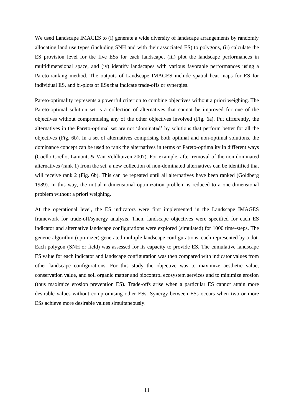We used Landscape IMAGES to (i) generate a wide diversity of landscape arrangements by randomly allocating land use types (including SNH and with their associated ES) to polygons, (ii) calculate the ES provision level for the five ESs for each landscape, (iii) plot the landscape performances in multidimensional space, and (iv) identify landscapes with various favorable performances using a Pareto-ranking method. The outputs of Landscape IMAGES include spatial heat maps for ES for individual ES, and bi-plots of ESs that indicate trade-offs or synergies.

Pareto-optimality represents a powerful criterion to combine objectives without a priori weighing. The Pareto-optimal solution set is a collection of alternatives that cannot be improved for one of the objectives without compromising any of the other objectives involved (Fig. 6a). Put differently, the alternatives in the Pareto-optimal set are not 'dominated' by solutions that perform better for all the objectives (Fig. 6b). In a set of alternatives comprising both optimal and non-optimal solutions, the dominance concept can be used to rank the alternatives in terms of Pareto-optimality in different ways (Coello Coello, Lamont, & Van Veldhuizen 2007). For example, after removal of the non-dominated alternatives (rank 1) from the set, a new collection of non-dominated alternatives can be identified that will receive rank 2 (Fig. 6b). This can be repeated until all alternatives have been ranked (Goldberg 1989). In this way, the initial n-dimensional optimization problem is reduced to a one-dimensional problem without a priori weighing.

At the operational level, the ES indicators were first implemented in the Landscape IMAGES framework for trade-off/synergy analysis. Then, landscape objectives were specified for each ES indicator and alternative landscape configurations were explored (simulated) for 1000 time-steps. The genetic algorithm (optimizer) generated multiple landscape configurations, each represented by a dot. Each polygon (SNH or field) was assessed for its capacity to provide ES. The cumulative landscape ES value for each indicator and landscape configuration was then compared with indicator values from other landscape configurations. For this study the objective was to maximize aesthetic value, conservation value, and soil organic matter and biocontrol ecosystem services and to minimize erosion (thus maximize erosion prevention ES). Trade-offs arise when a particular ES cannot attain more desirable values without compromising other ESs. Synergy between ESs occurs when two or more ESs achieve more desirable values simultaneously.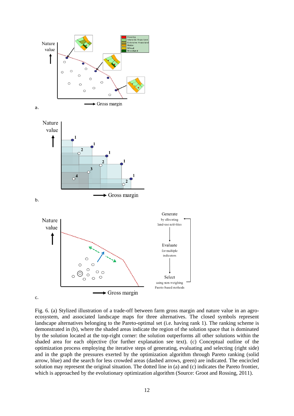

Fig. 6. (a) Stylized illustration of a trade-off between farm gross margin and nature value in an agroecosystem, and associated landscape maps for three alternatives. The closed symbols represent landscape alternatives belonging to the Pareto-optimal set (i.e. having rank 1). The ranking scheme is demonstrated in (b), where the shaded areas indicate the region of the solution space that is dominated by the solution located at the top-right corner: the solution outperforms all other solutions within the shaded area for each objective (for further explanation see text). (c) Conceptual outline of the optimization process employing the iterative steps of generating, evaluating and selecting (right side) and in the graph the pressures exerted by the optimization algorithm through Pareto ranking (solid arrow, blue) and the search for less crowded areas (dashed arrows, green) are indicated. The encircled solution may represent the original situation. The dotted line in (a) and (c) indicates the Pareto frontier, which is approached by the evolutionary optimization algorithm (Source: Groot and Rossing, 2011).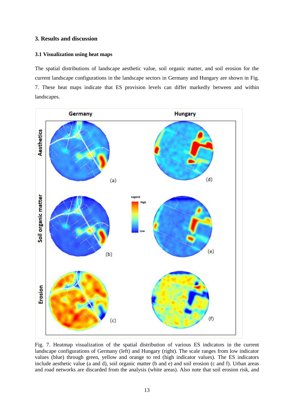#### **3. Results and discussion**

#### **3.1 Visualization using heat maps**

The spatial distributions of landscape aesthetic value, soil organic matter, and soil erosion for the current landscape configurations in the landscape sectors in Germany and Hungary are shown in Fig. 7. These heat maps indicate that ES provision levels can differ markedly between and within landscapes.



Fig. 7. Heatmap visualization of the spatial distribution of various ES indicators in the current landscape configurations of Germany (left) and Hungary (right). The scale ranges from low indicator values (blue) through green, yellow and orange to red (high indicator values). The ES indicators include aesthetic value (a and d), soil organic matter (b and e) and soil erosion (c and f). Urban areas and road networks are discarded from the analysis (white areas). Also note that soil erosion risk, and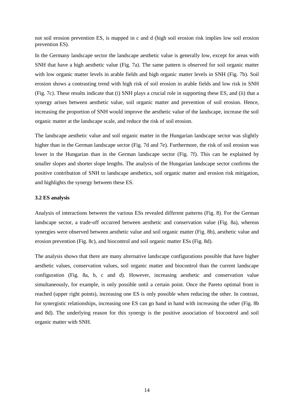not soil erosion prevention ES, is mapped in c and d (high soil erosion risk implies low soil erosion prevention ES).

In the Germany landscape sector the landscape aesthetic value is generally low, except for areas with SNH that have a high aesthetic value (Fig. 7a). The same pattern is observed for soil organic matter with low organic matter levels in arable fields and high organic matter levels in SNH (Fig. 7b). Soil erosion shows a contrasting trend with high risk of soil erosion in arable fields and low risk in SNH (Fig. 7c). These results indicate that (i) SNH plays a crucial role in supporting these ES, and (ii) that a synergy arises between aesthetic value, soil organic matter and prevention of soil erosion. Hence, increasing the proportion of SNH would improve the aesthetic value of the landscape, increase the soil organic matter at the landscape scale, and reduce the risk of soil erosion.

The landscape aesthetic value and soil organic matter in the Hungarian landscape sector was slightly higher than in the German landscape sector (Fig. 7d and 7e). Furthermore, the risk of soil erosion was lower in the Hungarian than in the German landscape sector (Fig. 7f). This can be explained by smaller slopes and shorter slope lengths. The analysis of the Hungarian landscape sector confirms the positive contribution of SNH to landscape aesthetics, soil organic matter and erosion risk mitigation, and highlights the synergy between these ES.

#### **3.2 ES analysis**

Analysis of interactions between the various ESs revealed different patterns (Fig. 8). For the German landscape sector, a trade-off occurred between aesthetic and conservation value (Fig. 8a), whereas synergies were observed between aesthetic value and soil organic matter (Fig. 8b), aesthetic value and erosion prevention (Fig. 8c), and biocontrol and soil organic matter ESs (Fig. 8d).

The analysis shows that there are many alternative landscape configurations possible that have higher aesthetic values, conservation values, soil organic matter and biocontrol than the current landscape configuration (Fig. 8a, b, c and d). However, increasing aesthetic and conservation value simultaneously, for example, is only possible until a certain point. Once the Pareto optimal front is reached (upper right points), increasing one ES is only possible when reducing the other. In contrast, for synergistic relationships, increasing one ES can go hand in hand with increasing the other (Fig. 8b and 8d). The underlying reason for this synergy is the positive association of biocontrol and soil organic matter with SNH.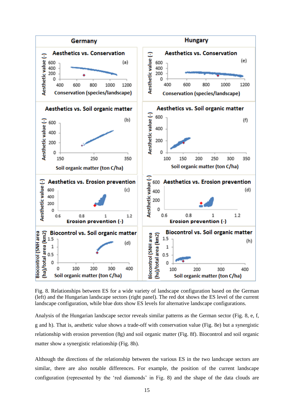

Fig. 8. Relationships between ES for a wide variety of landscape configuration based on the German (left) and the Hungarian landscape sectors (right panel). The red dot shows the ES level of the current landscape configuration, while blue dots show ES levels for alternative landscape configurations.

Analysis of the Hungarian landscape sector reveals similar patterns as the German sector (Fig. 8, e, f, g and h). That is, aesthetic value shows a trade-off with conservation value (Fig. 8e) but a synergistic relationship with erosion prevention (8g) and soil organic matter (Fig. 8f). Biocontrol and soil organic matter show a synergistic relationship (Fig. 8h).

Although the directions of the relationship between the various ES in the two landscape sectors are similar, there are also notable differences. For example, the position of the current landscape configuration (represented by the 'red diamonds' in Fig. 8) and the shape of the data clouds are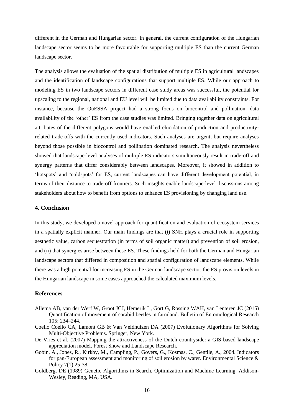different in the German and Hungarian sector. In general, the current configuration of the Hungarian landscape sector seems to be more favourable for supporting multiple ES than the current German landscape sector.

The analysis allows the evaluation of the spatial distribution of multiple ES in agricultural landscapes and the identification of landscape configurations that support multiple ES. While our approach to modeling ES in two landscape sectors in different case study areas was successful, the potential for upscaling to the regional, national and EU level will be limited due to data availability constraints. For instance, because the QuESSA project had a strong focus on biocontrol and pollination, data availability of the 'other' ES from the case studies was limited. Bringing together data on agricultural attributes of the different polygons would have enabled elucidation of production and productivityrelated trade-offs with the currently used indicators. Such analyses are urgent, but require analyses beyond those possible in biocontrol and pollination dominated research. The analysis nevertheless showed that landscape-level analyses of multiple ES indicators simultaneously result in trade-off and synergy patterns that differ considerably between landscapes. Moreover, it showed in addition to 'hotspots' and 'coldspots' for ES, current landscapes can have different development potential, in terms of their distance to trade-off frontiers. Such insights enable landscape-level discussions among stakeholders about how to benefit from options to enhance ES provisioning by changing land use.

#### **4. Conclusion**

In this study, we developed a novel approach for quantification and evaluation of ecosystem services in a spatially explicit manner. Our main findings are that (i) SNH plays a crucial role in supporting aesthetic value, carbon sequestration (in terms of soil organic matter) and prevention of soil erosion, and (ii) that synergies arise between these ES. These findings held for both the German and Hungarian landscape sectors that differed in composition and spatial configuration of landscape elements. While there was a high potential for increasing ES in the German landscape sector, the ES provision levels in the Hungarian landscape in some cases approached the calculated maximum levels.

#### **References**

- Allema AB, van der Werf W, Groot JCJ, Hemerik L, Gort G, Rossing WAH, van Lenteren JC (2015) Quantification of movement of carabid beetles in farmland. Bulletin of Entomological Research 105: 234–244.
- Coello Coello CA, Lamont GB & Van Veldhuizen DA (2007) Evolutionary Algorithms for Solving Multi-Objective Problems. Springer, New York.
- De Vries et al. (2007) Mapping the attractiveness of the Dutch countryside: a GIS-based landscape appreciation model. Forest Snow and Landscape Research.
- Gobin, A., Jones, R., Kirkby, M., Campling, P., Govers, G., Kosmas, C., Gentile, A., 2004. Indicators for pan-European assessment and monitoring of soil erosion by water. Environmental Science & Policy 7(1) 25-38.
- Goldberg, DE (1989) Genetic Algorithms in Search, Optimization and Machine Learning. Addison-Wesley, Reading, MA, USA.